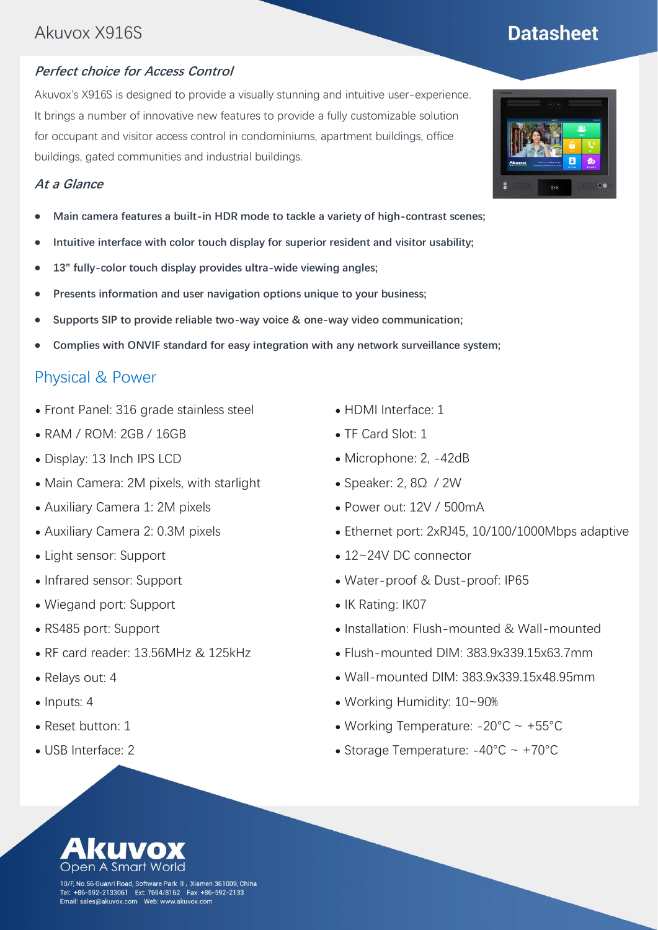# Akuvox X916S

#### **Perfect choice for Access Control**

Akuvox's X916S is designed to provide a visually stunning and intuitive user-experience. It brings a number of innovative new features to provide a fully customizable solution for occupant and visitor access control in condominiums, apartment buildings, office buildings, gated communities and industrial buildings.

#### **At a Glance**

- ⚫ **Main camera features a built-in HDR mode to tackle a variety of high-contrast scenes;**
- ⚫ **Intuitive interface with color touch display for superior resident and visitor usability;**
- ⚫ **13" fully-color touch display provides ultra-wide viewing angles;**
- ⚫ **Presents information and user navigation options unique to your business;**
- ⚫ **Supports SIP to provide reliable two-way voice & one-way video communication;**
- ⚫ **Complies with ONVIF standard for easy integration with any network surveillance system;**

### Physical & Power

- ⚫ Front Panel: 316 grade stainless steel
- ⚫ RAM / ROM: 2GB / 16GB
- ⚫ Display: 13 Inch IPS LCD
- ⚫ Main Camera: 2M pixels, with starlight
- ⚫ Auxiliary Camera 1: 2M pixels
- ⚫ Auxiliary Camera 2: 0.3M pixels
- ⚫ Light sensor: Support
- ⚫ Infrared sensor: Support
- ⚫ Wiegand port: Support
- ⚫ RS485 port: Support
- ⚫ RF card reader: 13.56MHz & 125kHz
- ⚫ Relays out: 4
- Inputs: 4
- Reset button: 1
- ⚫ USB Interface: 2
- ⚫ HDMI Interface: 1
- TF Card Slot: 1
- ⚫ Microphone: 2, -42dB
- Speaker: 2, 8Ω / 2W
- ⚫ Power out: 12V / 500mA
- ⚫ Ethernet port: 2xRJ45, 10/100/1000Mbps adaptive
- 12~24V DC connector
- ⚫ Water-proof & Dust-proof: IP65
- IK Rating: IK07
- ⚫ Installation: Flush-mounted & Wall-mounted
- ⚫ Flush-mounted DIM: 383.9x339.15x63.7mm
- ⚫ Wall-mounted DIM: 383.9x339.15x48.95mm
- ⚫ Working Humidity: 10~90%
- Working Temperature:  $-20^{\circ}$ C ~  $+55^{\circ}$ C
- Storage Temperature:  $-40^{\circ}$ C ~  $+70^{\circ}$ C





# **Datasheet**